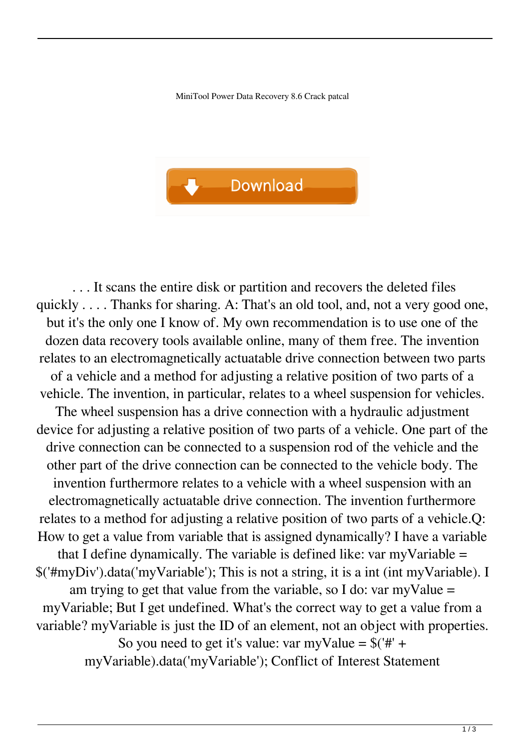MiniTool Power Data Recovery 8.6 Crack patcal



 . . . It scans the entire disk or partition and recovers the deleted files quickly . . . . Thanks for sharing. A: That's an old tool, and, not a very good one, but it's the only one I know of. My own recommendation is to use one of the dozen data recovery tools available online, many of them free. The invention relates to an electromagnetically actuatable drive connection between two parts of a vehicle and a method for adjusting a relative position of two parts of a vehicle. The invention, in particular, relates to a wheel suspension for vehicles. The wheel suspension has a drive connection with a hydraulic adjustment device for adjusting a relative position of two parts of a vehicle. One part of the drive connection can be connected to a suspension rod of the vehicle and the other part of the drive connection can be connected to the vehicle body. The invention furthermore relates to a vehicle with a wheel suspension with an electromagnetically actuatable drive connection. The invention furthermore relates to a method for adjusting a relative position of two parts of a vehicle.Q: How to get a value from variable that is assigned dynamically? I have a variable that I define dynamically. The variable is defined like: var myVariable  $=$ \$('#myDiv').data('myVariable'); This is not a string, it is a int (int myVariable). I am trying to get that value from the variable, so I do: var myValue  $=$ myVariable; But I get undefined. What's the correct way to get a value from a variable? myVariable is just the ID of an element, not an object with properties. So you need to get it's value: var myValue =  $\frac{f}{m}$ ' + myVariable).data('myVariable'); Conflict of Interest Statement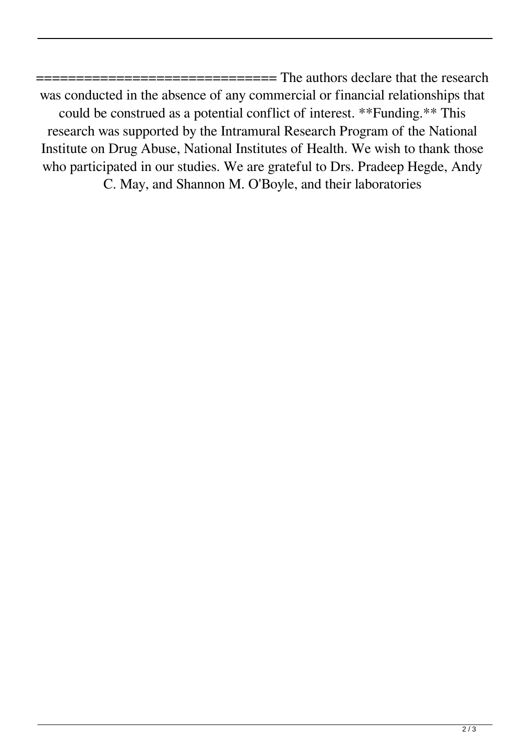$====The authors declare that the research$ was conducted in the absence of any commercial or financial relationships that could be construed as a potential conflict of interest. \*\*Funding.\*\* This research was supported by the Intramural Research Program of the National Institute on Drug Abuse, National Institutes of Health. We wish to thank those who participated in our studies. We are grateful to Drs. Pradeep Hegde, Andy C. May, and Shannon M. O'Boyle, and their laboratories